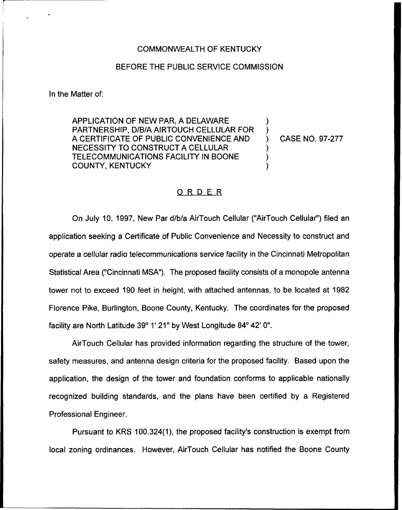## COMMONWEALTH OF KENTUCKY

## BEFORE THE PUBLIC SERVICE COMMISSION

In the Matter of:

APPLICATION OF NEW PAR, A DELAWARE PARTNERSHIP, D/B/A AIRTOUCH CELLULAR FOR A CERTIFICATE OF PUBLIC CONVENIENCE AND NECESSITY TO CONSTRUCT A CELLULAR TELECOMMUNICATIONS FACILITY IN BOONE COUNTY, KENTUCKY

) CASE NO. 97-277

) )

) ) )

## ORDER

On July 10, 1997, New Par d/b/a AirTouch Cellular ("AirTouch Cellular") filed ar application seeking a Certificate of Public Convenience and Necessity to construct and operate a cellular radio telecommunications service facility in the Cincinnati Metropolitan Statistical Area ("Cincinnati MSA"). The proposed facility consists of a monopole antenna tower not to exceed 190 feet in height, with attached antennas, to be located at 1982 Florence Pike, Burlington, Boone County, Kentucky, The coordinates for the proposed facility are North Latitude 39° 1' 21" by West Longitude 84° 42' 0".

AirTouch Cellular has provided information regarding the structure of the tower, safety measures, and antenna design criteria for the proposed facility. Based upon the application, the design of the tower and foundation conforms to applicable nationally recognized building standards, and the plans have been certified by a Registered Professional Engineer.

Pursuant to KRS 100.324(1), the proposed facility's construction is exempt from local zoning ordinances. However, AirTouch Cellular has notified the Boone County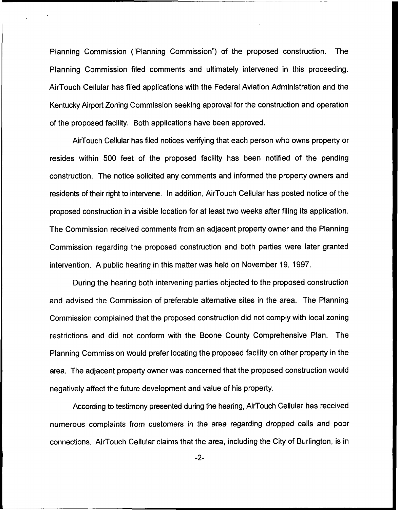Planning Commission ("Planning Commission") of the proposed construction. The Planning Commission filed comments and ultimately intervened in this proceeding. Air Touch Cellular has filed applications with the Federal Aviation Administration and the Kentucky Airport Zoning Commission seeking approval for the construction and operation of the proposed facility. Both applications have been approved.

AirTouch Cellular has filed notices verifying that each person who owns property or resides within 500 feet of the proposed facility has been notified of the pending construction. The notice solicited any comments and informed the property owners and residents of their right to intervene. In addition, AirTouch Cellular has posted notice of the proposed construction in a visible location for at least two weeks after filing its application. The Commission received comments from an adjacent property owner and the Planning Commission regarding the proposed construction and both parties were later granted intervention. A public hearing in this matter was held on November 19, 1997.

During the hearing both intervening parties objected to the proposed construction and advised the Commission of preferable alternative sites in the area. The Planning Commission complained that the proposed construction did not comply with local zoning restrictions and did not conform with the Boone County Comprehensive Plan. The Planning Commission would prefer locating the proposed facility on other property in the area. The adjacent property owner was concerned that the proposed construction would negatively affect the future development and value of his property.

According to testimony presented during the hearing, AirTouch Cellular has received numerous complaints from customers in the area regarding dropped calls and poor connections. AirTouch Cellular claims that the area, including the City of Burlington, is in

 $-2-$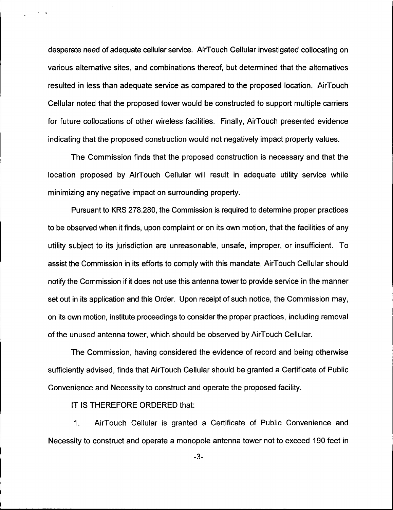desperate need of adequate cellular service. AirTouch Cellular investigated collocating on various alternative sites, and combinations thereof, but determined that the alternatives resulted in less than adequate service as compared to the proposed location. AirTouch Cellular noted that the proposed tower would be constructed to support multiple carriers for future collocations of other wireless facilities. Finally, AirTouch presented evidence indicating that the proposed construction would not negatively impact property values.

The Commission finds that the proposed construction is necessary and that the location proposed by AirTouch Cellular will result in adequate utility service while minimizing any negative impact on surrounding property.

Pursuant to KRS 278.280, the Commission is required to determine proper practices to be observed when it finds, upon complaint or on its own motion, that the facilities of any utility subject to its jurisdiction are unreasonable, unsafe, improper, or insufficient. To assist the Commission in its efforts to comply with this mandate, AirTouch Cellular should notify the Commission if it does not use this antenna tower to provide service in the manner set out in its application and this Order. Upon receipt of such notice, the Commission may, on its own motion, institute proceedings to consider the proper practices, including removal of the unused antenna tower, which should be observed by AirTouch Cellular.

The Commission, having considered the evidence of record and being otherwise sufficiently advised, finds that AirTouch Cellular should be granted a Certificate of Public Convenience and Necessity to construct and operate the proposed facility.

IT IS THEREFORE ORDERED that:

1. AirTouch Cellular is granted a Certificate of Public Convenience and Necessity to construct and operate a monopole antenna tower not to exceed 190 feet in

-3-